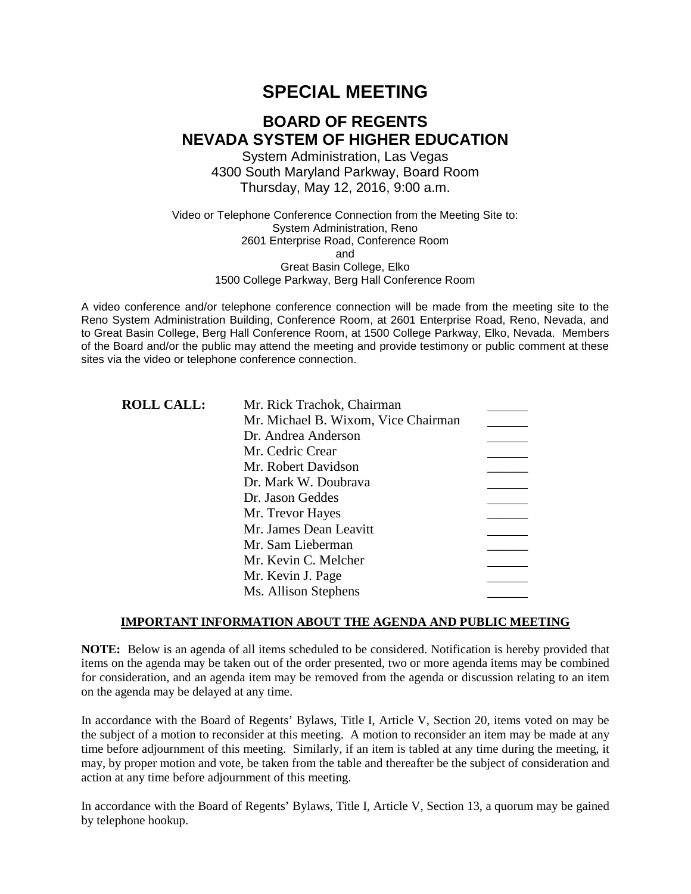# **SPECIAL MEETING**

# **BOARD OF REGENTS NEVADA SYSTEM OF HIGHER EDUCATION**

System Administration, Las Vegas 4300 South Maryland Parkway, Board Room Thursday, May 12, 2016, 9:00 a.m.

Video or Telephone Conference Connection from the Meeting Site to: System Administration, Reno 2601 Enterprise Road, Conference Room and Great Basin College, Elko 1500 College Parkway, Berg Hall Conference Room

A video conference and/or telephone conference connection will be made from the meeting site to the Reno System Administration Building, Conference Room, at 2601 Enterprise Road, Reno, Nevada, and to Great Basin College, Berg Hall Conference Room, at 1500 College Parkway, Elko, Nevada. Members of the Board and/or the public may attend the meeting and provide testimony or public comment at these sites via the video or telephone conference connection.

| <b>ROLL CALL:</b> | Mr. Rick Trachok, Chairman          |  |
|-------------------|-------------------------------------|--|
|                   | Mr. Michael B. Wixom, Vice Chairman |  |
|                   | Dr. Andrea Anderson                 |  |
|                   | Mr. Cedric Crear                    |  |
|                   | Mr. Robert Davidson                 |  |
|                   | Dr. Mark W. Doubrava                |  |
|                   | Dr. Jason Geddes                    |  |
|                   | Mr. Trevor Hayes                    |  |
|                   | Mr. James Dean Leavitt              |  |
|                   | Mr. Sam Lieberman                   |  |
|                   | Mr. Kevin C. Melcher                |  |
|                   | Mr. Kevin J. Page                   |  |
|                   | Ms. Allison Stephens                |  |

### **IMPORTANT INFORMATION ABOUT THE AGENDA AND PUBLIC MEETING**

**NOTE:** Below is an agenda of all items scheduled to be considered. Notification is hereby provided that items on the agenda may be taken out of the order presented, two or more agenda items may be combined for consideration, and an agenda item may be removed from the agenda or discussion relating to an item on the agenda may be delayed at any time.

In accordance with the Board of Regents' Bylaws, Title I, Article V, Section 20, items voted on may be the subject of a motion to reconsider at this meeting. A motion to reconsider an item may be made at any time before adjournment of this meeting. Similarly, if an item is tabled at any time during the meeting, it may, by proper motion and vote, be taken from the table and thereafter be the subject of consideration and action at any time before adjournment of this meeting.

In accordance with the Board of Regents' Bylaws, Title I, Article V, Section 13, a quorum may be gained by telephone hookup.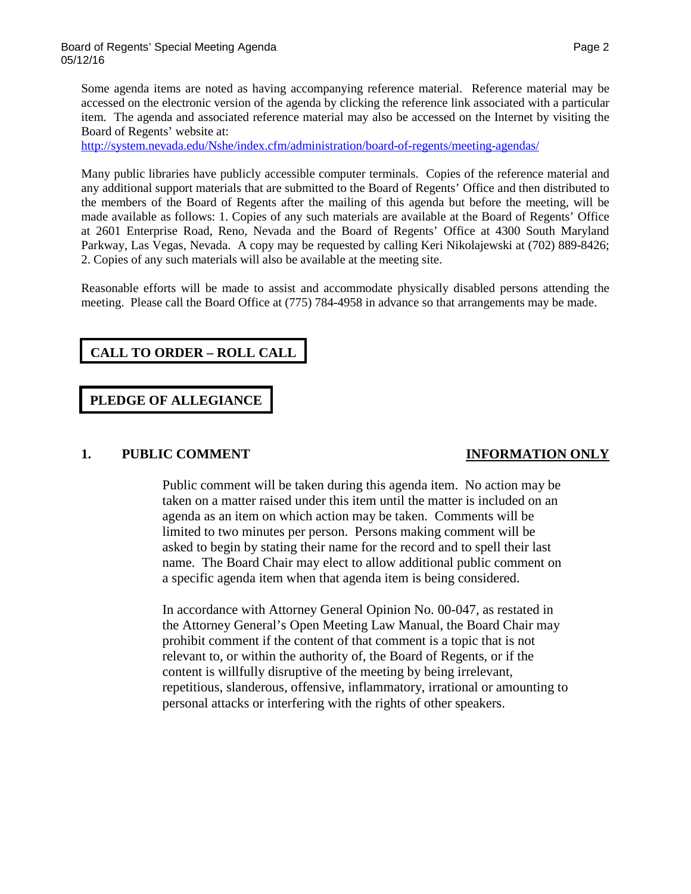Some agenda items are noted as having accompanying reference material. Reference material may be accessed on the electronic version of the agenda by clicking the reference link associated with a particular item. The agenda and associated reference material may also be accessed on the Internet by visiting the Board of Regents' website at:

<http://system.nevada.edu/Nshe/index.cfm/administration/board-of-regents/meeting-agendas/>

Many public libraries have publicly accessible computer terminals. Copies of the reference material and any additional support materials that are submitted to the Board of Regents' Office and then distributed to the members of the Board of Regents after the mailing of this agenda but before the meeting, will be made available as follows: 1. Copies of any such materials are available at the Board of Regents' Office at 2601 Enterprise Road, Reno, Nevada and the Board of Regents' Office at 4300 South Maryland Parkway, Las Vegas, Nevada. A copy may be requested by calling Keri Nikolajewski at (702) 889-8426; 2. Copies of any such materials will also be available at the meeting site.

Reasonable efforts will be made to assist and accommodate physically disabled persons attending the meeting. Please call the Board Office at (775) 784-4958 in advance so that arrangements may be made.

## **CALL TO ORDER – ROLL CALL**

### **PLEDGE OF ALLEGIANCE**

### **1. PUBLIC COMMENT INFORMATION ONLY**

Public comment will be taken during this agenda item. No action may be taken on a matter raised under this item until the matter is included on an agenda as an item on which action may be taken. Comments will be limited to two minutes per person. Persons making comment will be asked to begin by stating their name for the record and to spell their last name. The Board Chair may elect to allow additional public comment on a specific agenda item when that agenda item is being considered.

In accordance with Attorney General Opinion No. 00-047, as restated in the Attorney General's Open Meeting Law Manual, the Board Chair may prohibit comment if the content of that comment is a topic that is not relevant to, or within the authority of, the Board of Regents, or if the content is willfully disruptive of the meeting by being irrelevant, repetitious, slanderous, offensive, inflammatory, irrational or amounting to personal attacks or interfering with the rights of other speakers.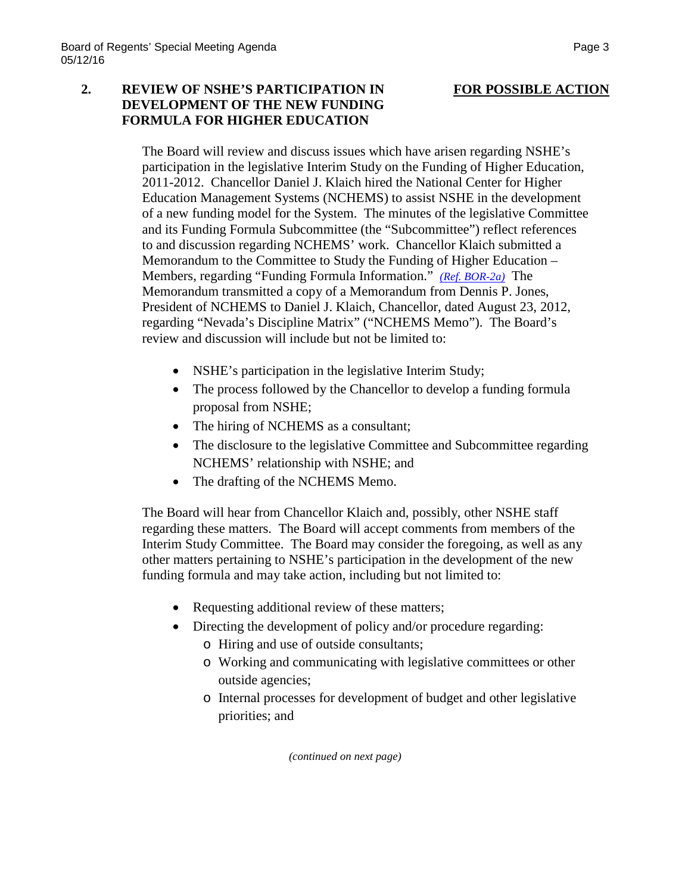### **2. REVIEW OF NSHE'S PARTICIPATION IN FOR POSSIBLE ACTION DEVELOPMENT OF THE NEW FUNDING FORMULA FOR HIGHER EDUCATION**

The Board will review and discuss issues which have arisen regarding NSHE's participation in the legislative Interim Study on the Funding of Higher Education, 2011-2012. Chancellor Daniel J. Klaich hired the National Center for Higher Education Management Systems (NCHEMS) to assist NSHE in the development of a new funding model for the System. The minutes of the legislative Committee and its Funding Formula Subcommittee (the "Subcommittee") reflect references to and discussion regarding NCHEMS' work. Chancellor Klaich submitted a Memorandum to the Committee to Study the Funding of Higher Education – Members, regarding "Funding Formula Information." *[\(Ref. BOR-2a\)](http://system.nevada.edu/tasks/sites/Nshe/assets/File/BoardOfRegents/Agendas/2016/may-mtgs/bor-refs-512/BOR-2a.pdf)* The Memorandum transmitted a copy of a Memorandum from Dennis P. Jones, President of NCHEMS to Daniel J. Klaich, Chancellor, dated August 23, 2012, regarding "Nevada's Discipline Matrix" ("NCHEMS Memo"). The Board's review and discussion will include but not be limited to:

- NSHE's participation in the legislative Interim Study;
- The process followed by the Chancellor to develop a funding formula proposal from NSHE;
- The hiring of NCHEMS as a consultant;
- The disclosure to the legislative Committee and Subcommittee regarding NCHEMS' relationship with NSHE; and
- The drafting of the NCHEMS Memo.

The Board will hear from Chancellor Klaich and, possibly, other NSHE staff regarding these matters. The Board will accept comments from members of the Interim Study Committee. The Board may consider the foregoing, as well as any other matters pertaining to NSHE's participation in the development of the new funding formula and may take action, including but not limited to:

- Requesting additional review of these matters;
- Directing the development of policy and/or procedure regarding:
	- o Hiring and use of outside consultants;
	- o Working and communicating with legislative committees or other outside agencies;
	- o Internal processes for development of budget and other legislative priorities; and

*(continued on next page)*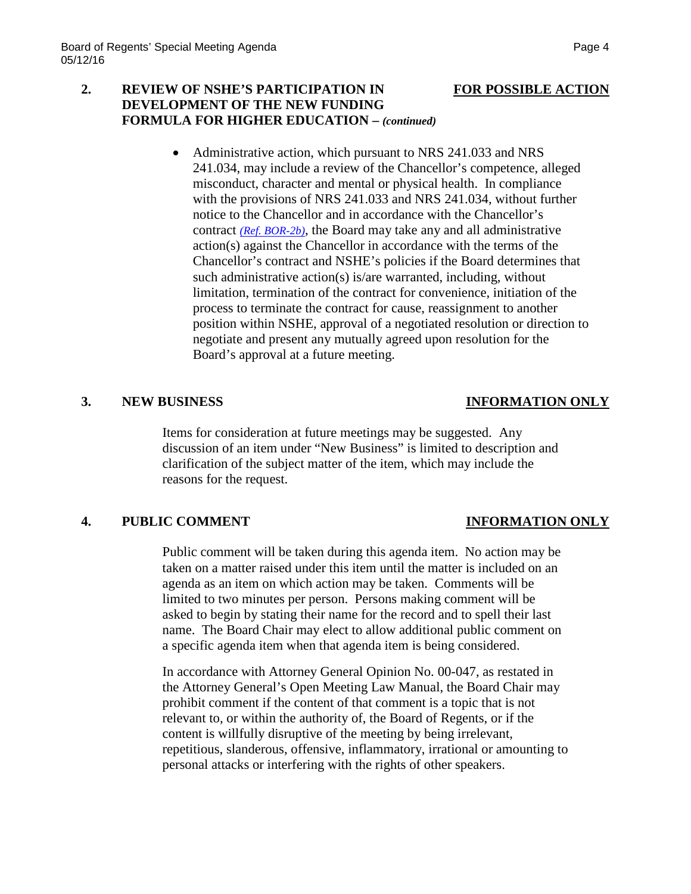### **2. REVIEW OF NSHE'S PARTICIPATION IN FOR POSSIBLE ACTION DEVELOPMENT OF THE NEW FUNDING FORMULA FOR HIGHER EDUCATION –** *(continued)*

• Administrative action, which pursuant to NRS 241.033 and NRS 241.034, may include a review of the Chancellor's competence, alleged misconduct, character and mental or physical health. In compliance with the provisions of NRS 241.033 and NRS 241.034, without further notice to the Chancellor and in accordance with the Chancellor's contract *[\(Ref. BOR-2b\)](http://system.nevada.edu/tasks/sites/Nshe/assets/File/BoardOfRegents/Agendas/2016/may-mtgs/bor-refs-512/BOR-2b.pdf)*, the Board may take any and all administrative action(s) against the Chancellor in accordance with the terms of the Chancellor's contract and NSHE's policies if the Board determines that such administrative action(s) is/are warranted, including, without limitation, termination of the contract for convenience, initiation of the process to terminate the contract for cause, reassignment to another position within NSHE, approval of a negotiated resolution or direction to negotiate and present any mutually agreed upon resolution for the Board's approval at a future meeting.

### **3. NEW BUSINESS INFORMATION ONLY**

Items for consideration at future meetings may be suggested. Any discussion of an item under "New Business" is limited to description and clarification of the subject matter of the item, which may include the reasons for the request.

## **4. PUBLIC COMMENT INFORMATION ONLY**

Public comment will be taken during this agenda item. No action may be taken on a matter raised under this item until the matter is included on an agenda as an item on which action may be taken. Comments will be limited to two minutes per person. Persons making comment will be asked to begin by stating their name for the record and to spell their last name. The Board Chair may elect to allow additional public comment on a specific agenda item when that agenda item is being considered.

In accordance with Attorney General Opinion No. 00-047, as restated in the Attorney General's Open Meeting Law Manual, the Board Chair may prohibit comment if the content of that comment is a topic that is not relevant to, or within the authority of, the Board of Regents, or if the content is willfully disruptive of the meeting by being irrelevant, repetitious, slanderous, offensive, inflammatory, irrational or amounting to personal attacks or interfering with the rights of other speakers.